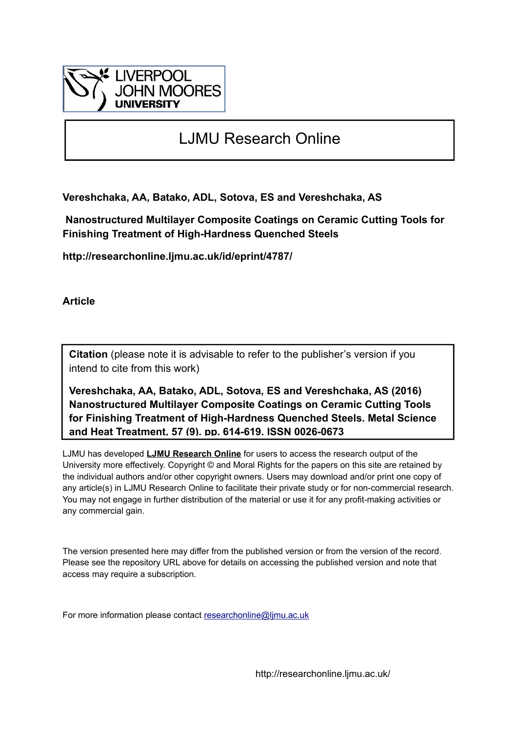

# LJMU Research Online

**Vereshchaka, AA, Batako, ADL, Sotova, ES and Vereshchaka, AS**

 **Nanostructured Multilayer Composite Coatings on Ceramic Cutting Tools for Finishing Treatment of High-Hardness Quenched Steels**

**http://researchonline.ljmu.ac.uk/id/eprint/4787/**

**Article**

**Citation** (please note it is advisable to refer to the publisher's version if you intend to cite from this work)

**Vereshchaka, AA, Batako, ADL, Sotova, ES and Vereshchaka, AS (2016) Nanostructured Multilayer Composite Coatings on Ceramic Cutting Tools for Finishing Treatment of High-Hardness Quenched Steels. Metal Science and Heat Treatment, 57 (9). pp. 614-619. ISSN 0026-0673** 

LJMU has developed **[LJMU Research Online](http://researchonline.ljmu.ac.uk/)** for users to access the research output of the University more effectively. Copyright © and Moral Rights for the papers on this site are retained by the individual authors and/or other copyright owners. Users may download and/or print one copy of any article(s) in LJMU Research Online to facilitate their private study or for non-commercial research. You may not engage in further distribution of the material or use it for any profit-making activities or any commercial gain.

The version presented here may differ from the published version or from the version of the record. Please see the repository URL above for details on accessing the published version and note that access may require a subscription.

For more information please contact [researchonline@ljmu.ac.uk](mailto:researchonline@ljmu.ac.uk)

http://researchonline.ljmu.ac.uk/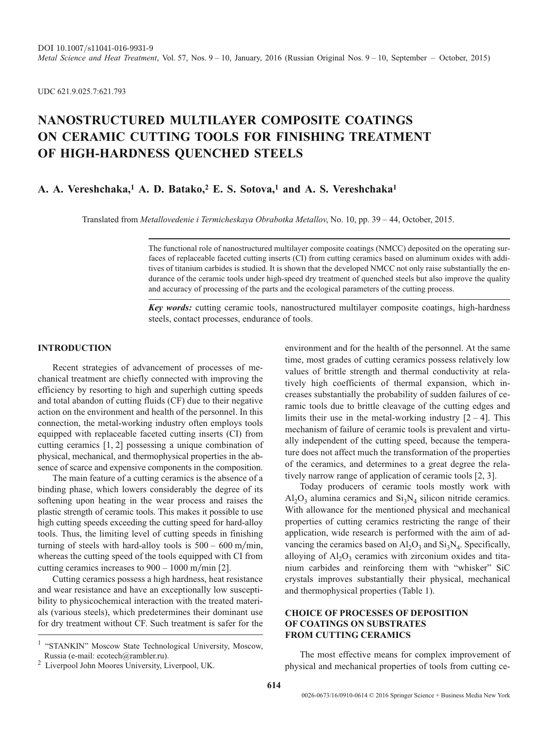UDC 621.9.025.7:621.793

## **NANOSTRUCTURED MULTILAYER COMPOSITE COATINGS ON CERAMIC CUTTING TOOLS FOR FINISHING TREATMENT OF HIGH-HARDNESS QUENCHED STEELS**

### **A. A. Vereshchaka,1 A. D. Batako,2 E. S. Sotova,1 and A. S. Vereshchaka1**

Translated from *Metallovedenie i Termicheskaya Obrabotka Metallov*, No. 10, pp. 39 – 44, October, 2015.

The functional role of nanostructured multilayer composite coatings (NMCC) deposited on the operating surfaces of replaceable faceted cutting inserts (CI) from cutting ceramics based on aluminum oxides with additives of titanium carbides is studied. It is shown that the developed NMCC not only raise substantially the endurance of the ceramic tools under high-speed dry treatment of quenched steels but also improve the quality and accuracy of processing of the parts and the ecological parameters of the cutting process.

*Key words:* cutting ceramic tools, nanostructured multilayer composite coatings, high-hardness steels, contact processes, endurance of tools.

#### **INTRODUCTION**

Recent strategies of advancement of processes of mechanical treatment are chiefly connected with improving the efficiency by resorting to high and superhigh cutting speeds and total abandon of cutting fluids (CF) due to their negative action on the environment and health of the personnel. In this connection, the metal-working industry often employs tools equipped with replaceable faceted cutting inserts (CI) from cutting ceramics [1, 2] possessing a unique combination of physical, mechanical, and thermophysical properties in the absence of scarce and expensive components in the composition.

The main feature of a cutting ceramics is the absence of a binding phase, which lowers considerably the degree of its softening upon heating in the wear process and raises the plastic strength of ceramic tools. This makes it possible to use high cutting speeds exceeding the cutting speed for hard-alloy tools. Thus, the limiting level of cutting speeds in finishing turning of steels with hard-alloy tools is  $500 - 600$  m/min, whereas the cutting speed of the tools equipped with CI from cutting ceramics increases to  $900 - 1000$  m/min [2].

Cutting ceramics possess a high hardness, heat resistance and wear resistance and have an exceptionally low susceptibility to physicochemical interaction with the treated materials (various steels), which predetermines their dominant use for dry treatment without CF. Such treatment is safer for the environment and for the health of the personnel. At the same time, most grades of cutting ceramics possess relatively low values of brittle strength and thermal conductivity at relatively high coefficients of thermal expansion, which increases substantially the probability of sudden failures of ceramic tools due to brittle cleavage of the cutting edges and limits their use in the metal-working industry  $[2 - 4]$ . This mechanism of failure of ceramic tools is prevalent and virtually independent of the cutting speed, because the temperature does not affect much the transformation of the properties of the ceramics, and determines to a great degree the relatively narrow range of application of ceramic tools [2, 3].

Today producers of ceramic tools mostly work with  $Al_2O_3$  alumina ceramics and  $Si_3N_4$  silicon nitride ceramics. With allowance for the mentioned physical and mechanical properties of cutting ceramics restricting the range of their application, wide research is performed with the aim of advancing the ceramics based on  $Al_2O_3$  and  $Si_3N_4$ . Specifically, alloying of  $Al_2O_3$  ceramics with zirconium oxides and titanium carbides and reinforcing them with "whisker" SiC crystals improves substantially their physical, mechanical and thermophysical properties (Table 1).

#### **CHOICE OF PROCESSES OF DEPOSITION OF COATINGS ON SUBSTRATES FROM CUTTING CERAMICS**

The most effective means for complex improvement of physical and mechanical properties of tools from cutting ce-

<sup>&</sup>lt;sup>1</sup> "STANKIN" Moscow State Technological University, Moscow, Russia (e-mail: ecotech@rambler.ru).

Prince (e-mail: economy-mail: experimental).<br>
<sup>2</sup> Liverpool John Moores University, Liverpool, UK.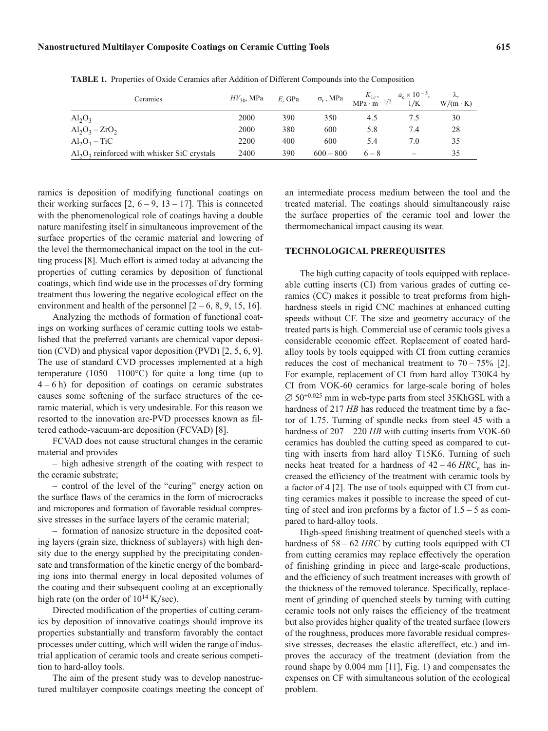| Ceramics                                       | $HV_{30}$ , MPa | $E$ , GPa |             | $\sigma_r$ , MPa $\frac{K_{1c}}{MPa \cdot m^{-1/2}}$ , $a_c \times 10^{-5}$ , |     | $W/(m \cdot K)$ |
|------------------------------------------------|-----------------|-----------|-------------|-------------------------------------------------------------------------------|-----|-----------------|
| $\text{Al}_2\text{O}_3$                        | 2000            | 390       | 350         | 4.5                                                                           |     | 30              |
| $Al_2O_3 - ZrO_2$                              | 2000            | 380       | 600         | 5.8                                                                           | 7.4 | 28              |
| $Al_2O_3-TiC$                                  | 2200            | 400       | 600         | 5.4                                                                           | 7.0 | 35              |
| $Al_2O_3$ reinforced with whisker SiC crystals | 2400            | 390       | $600 - 800$ | $6 - 8$                                                                       |     | 35              |

**TABLE 1.** Properties of Oxide Ceramics after Addition of Different Compounds into the Composition

ramics is deposition of modifying functional coatings on their working surfaces  $[2, 6 - 9, 13 - 17]$ . This is connected with the phenomenological role of coatings having a double nature manifesting itself in simultaneous improvement of the surface properties of the ceramic material and lowering of the level the thermomechanical impact on the tool in the cutting process [8]. Much effort is aimed today at advancing the properties of cutting ceramics by deposition of functional coatings, which find wide use in the processes of dry forming treatment thus lowering the negative ecological effect on the environment and health of the personnel  $[2 - 6, 8, 9, 15, 16]$ .

Analyzing the methods of formation of functional coatings on working surfaces of ceramic cutting tools we established that the preferred variants are chemical vapor deposition (CVD) and physical vapor deposition (PVD) [2, 5, 6, 9]. The use of standard CVD processes implemented at a high temperature  $(1050 - 1100^{\circ}C)$  for quite a long time (up to  $4 - 6$  h) for deposition of coatings on ceramic substrates causes some softening of the surface structures of the ceramic material, which is very undesirable. For this reason we resorted to the innovation arc-PVD processes known as filtered cathode-vacuum-arc deposition (FCVAD) [8].

FCVAD does not cause structural changes in the ceramic material and provides

– high adhesive strength of the coating with respect to the ceramic substrate;

– control of the level of the "curing" energy action on the surface flaws of the ceramics in the form of microcracks and micropores and formation of favorable residual compressive stresses in the surface layers of the ceramic material;

– formation of nanosize structure in the deposited coating layers (grain size, thickness of sublayers) with high density due to the energy supplied by the precipitating condensate and transformation of the kinetic energy of the bombarding ions into thermal energy in local deposited volumes of the coating and their subsequent cooling at an exceptionally high rate (on the order of  $10^{14}$  K/sec).

Directed modification of the properties of cutting ceramics by deposition of innovative coatings should improve its properties substantially and transform favorably the contact processes under cutting, which will widen the range of industrial application of ceramic tools and create serious competition to hard-alloy tools.

The aim of the present study was to develop nanostructured multilayer composite coatings meeting the concept of an intermediate process medium between the tool and the treated material. The coatings should simultaneously raise the surface properties of the ceramic tool and lower the thermomechanical impact causing its wear.

#### **TECHNOLOGICAL PREREQUISITES**

The high cutting capacity of tools equipped with replaceable cutting inserts (CI) from various grades of cutting ceramics (CC) makes it possible to treat preforms from highhardness steels in rigid CNC machines at enhanced cutting speeds without CF. The size and geometry accuracy of the treated parts is high. Commercial use of ceramic tools gives a considerable economic effect. Replacement of coated hardalloy tools by tools equipped with CI from cutting ceramics reduces the cost of mechanical treatment to  $70 - 75\%$  [2]. For example, replacement of CI from hard alloy T30K4 by CI from VOK-60 ceramics for large-scale boring of holes  $\varnothing$  50<sup>+0.025</sup> mm in web-type parts from steel 35KhGSL with a hardness of 217 *HB* has reduced the treatment time by a factor of 1.75. Turning of spindle necks from steel 45 with a hardness of  $207 - 220$  HB with cutting inserts from VOK-60 ceramics has doubled the cutting speed as compared to cutting with inserts from hard alloy T15K6. Turning of such necks heat treated for a hardness of  $42 - 46$  *HRC*<sub>e</sub> has increased the efficiency of the treatment with ceramic tools by a factor of 4 [2]. The use of tools equipped with CI from cutting ceramics makes it possible to increase the speed of cutting of steel and iron preforms by a factor of  $1.5 - 5$  as compared to hard-alloy tools.

High-speed finishing treatment of quenched steels with a hardness of 58 – 62 *HRC* by cutting tools equipped with CI from cutting ceramics may replace effectively the operation of finishing grinding in piece and large-scale productions, and the efficiency of such treatment increases with growth of the thickness of the removed tolerance. Specifically, replacement of grinding of quenched steels by turning with cutting ceramic tools not only raises the efficiency of the treatment but also provides higher quality of the treated surface (lowers of the roughness, produces more favorable residual compressive stresses, decreases the elastic aftereffect, etc.) and improves the accuracy of the treatment (deviation from the round shape by 0.004 mm [11], Fig. 1) and compensates the expenses on CF with simultaneous solution of the ecological problem.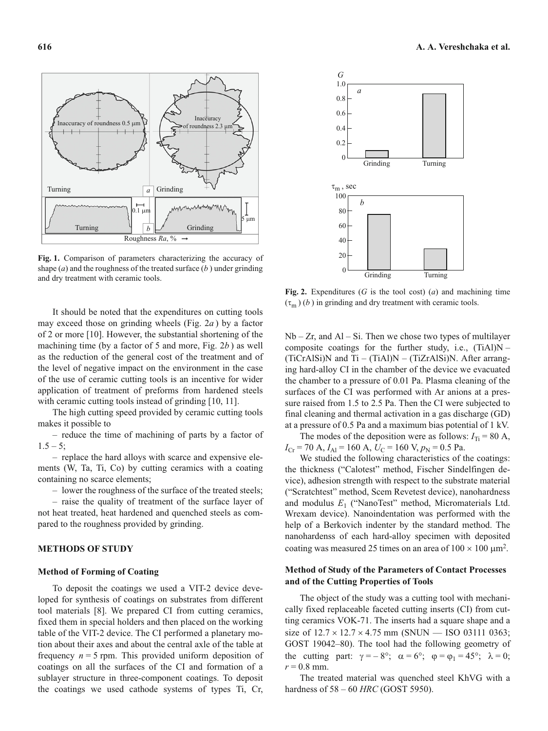**Fig. 1.** Comparison of parameters characterizing the accuracy of shape (*a*) and the roughness of the treated surface (*b* ) under grinding and dry treatment with ceramic tools.

It should be noted that the expenditures on cutting tools may exceed those on grinding wheels (Fig. 2*a* ) by a factor of 2 or more [10]. However, the substantial shortening of the machining time (by a factor of 5 and more, Fig. 2*b* ) as well as the reduction of the general cost of the treatment and of the level of negative impact on the environment in the case of the use of ceramic cutting tools is an incentive for wider application of treatment of preforms from hardened steels with ceramic cutting tools instead of grinding [10, 11].

The high cutting speed provided by ceramic cutting tools makes it possible to

– reduce the time of machining of parts by a factor of  $1.5 - 5$ ;

– replace the hard alloys with scarce and expensive elements (W, Ta, Ti, Co) by cutting ceramics with a coating containing no scarce elements;

– lower the roughness of the surface of the treated steels;

– raise the quality of treatment of the surface layer of not heat treated, heat hardened and quenched steels as compared to the roughness provided by grinding.

#### **METHODS OF STUDY**

#### **Method of Forming of Coating**

To deposit the coatings we used a VIT-2 device developed for synthesis of coatings on substrates from different tool materials [8]. We prepared CI from cutting ceramics, fixed them in special holders and then placed on the working table of the VIT-2 device. The CI performed a planetary motion about their axes and about the central axle of the table at frequency  $n = 5$  rpm. This provided uniform deposition of coatings on all the surfaces of the CI and formation of a sublayer structure in three-component coatings. To deposit the coatings we used cathode systems of types Ti, Cr,



 $Nb - Zr$ , and  $Al - Si$ . Then we chose two types of multilayer composite coatings for the further study, i.e.,  $(TiAIN (TiCrAISi)N$  and  $Ti - (TiA1)N - (TiZrAISi)N$ . After arranging hard-alloy CI in the chamber of the device we evacuated the chamber to a pressure of 0.01 Pa. Plasma cleaning of the surfaces of the CI was performed with Ar anions at a pressure raised from 1.5 to 2.5 Pa. Then the CI were subjected to final cleaning and thermal activation in a gas discharge (GD) at a pressure of 0.5 Pa and a maximum bias potential of 1 kV.

The modes of the deposition were as follows:  $I_{\text{Ti}} = 80 \text{ A}$ ,  $I_{\text{Cr}}$  = 70 A,  $I_{\text{Al}}$  = 160 A,  $U_{\text{C}}$  = 160 V,  $p_{\text{N}}$  = 0.5 Pa.

We studied the following characteristics of the coatings: the thickness ("Calotest" method, Fischer Sindelfingen device), adhesion strength with respect to the substrate material ("Scratchtest" method, Scem Revetest device), nanohardness and modulus *E*<sup>1</sup> ("NanoTest" method, Micromaterials Ltd. Wrexam device). Nanoindentation was performed with the help of a Berkovich indenter by the standard method. The nanohardenss of each hard-alloy specimen with deposited coating was measured 25 times on an area of  $100 \times 100 \mu m^2$ .

#### **Method of Study of the Parameters of Contact Processes and of the Cutting Properties of Tools**

The object of the study was a cutting tool with mechanically fixed replaceable faceted cutting inserts (CI) from cutting ceramics VOK-71. The inserts had a square shape and a size of  $12.7 \times 12.7 \times 4.75$  mm (SNUN — ISO 03111 0363; GOST 19042–80). The tool had the following geometry of the cutting part:  $\gamma = -8^\circ$ ;  $\alpha = 6^\circ$ ;  $\varphi = \varphi_1 = 45^\circ$ ;  $\lambda = 0$ ;  $r = 0.8$  mm.

The treated material was quenched steel KhVG with a hardness of 58 – 60 *HRC* (GOST 5950).





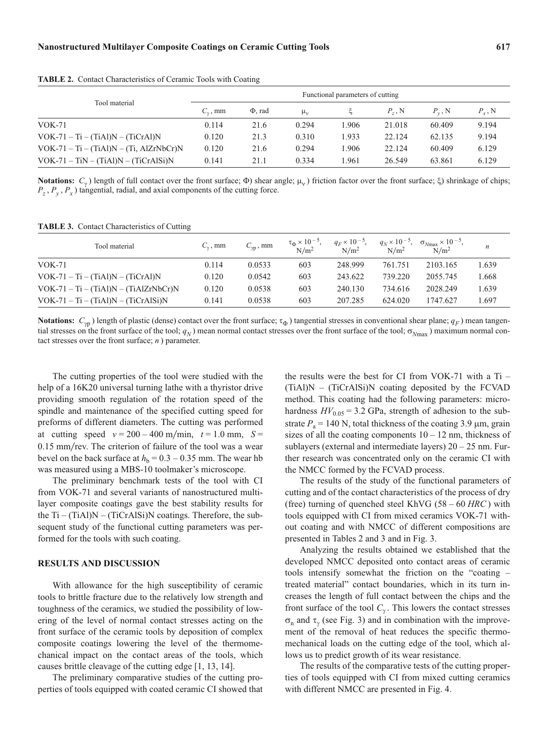| Tool material                             | Functional parameters of cutting |              |             |       |           |           |           |
|-------------------------------------------|----------------------------------|--------------|-------------|-------|-----------|-----------|-----------|
|                                           | $C_{\gamma}$ , mm                | $\Phi$ , rad | $\mu_{\nu}$ |       | $P_z$ , N | $P_v$ , N | $P_r$ , N |
| $VOK-71$                                  | 0.114                            | 21.6         | 0.294       | 1.906 | 21.018    | 60.409    | 9.194     |
| $VOK-71 - Ti - (TiAl)N - (TiCrAl)N$       | 0.120                            | 21.3         | 0.310       | 1.933 | 22.124    | 62.135    | 9.194     |
| $VOK-71 - Ti - (TiAl)N - (Ti, AlZrNbCr)N$ | 0.120                            | 21.6         | 0.294       | 1.906 | 22.124    | 60.409    | 6.129     |
| $VOK-71 - TiN - (TiAl)N - (TiCrAlSi)N$    | 0.141                            | 21.1         | 0.334       | 1.961 | 26.549    | 63.861    | 6.129     |

**TABLE 2.** Contact Characteristics of Ceramic Tools with Coating

**Notations:**  $C_{\gamma}$ ) length of full contact over the front surface;  $\Phi$ ) shear angle;  $\mu_{\gamma}$ ) friction factor over the front surface;  $\xi$ ) shrinkage of chips;  $P_z$ ,  $P_v$ ,  $P_x$ ) tangential, radial, and axial components of the cutting force.

| TABLE 3. Contact Characteristics of Cutting |  |
|---------------------------------------------|--|
|---------------------------------------------|--|

| Tool material                           | $C_{\gamma}$ , mm | $C_{\gamma_D}$ , mm | $\tau_{\Phi} \times 10^{-5}$ ,<br>N/m <sup>2</sup> | $q_F \times 10^{-5}$ ,<br>$N/m^2$ | $q_N \times 10^{-5}$ ,<br>N/m <sup>2</sup> | $\sigma_{Nmax} \times 10^{-5}$ ,<br>N/m <sup>2</sup> | $\boldsymbol{n}$ |
|-----------------------------------------|-------------------|---------------------|----------------------------------------------------|-----------------------------------|--------------------------------------------|------------------------------------------------------|------------------|
| $VOK-71$                                | 0.114             | 0.0533              | 603                                                | 248.999                           | 761.751                                    | 2103.165                                             | 1.639            |
| $VOK-71 - Ti - (TiAl)N - (TiCrAl)N$     | 0.120             | 0.0542              | 603                                                | 243.622                           | 739.220                                    | 2055.745                                             | 1.668            |
| $VOK-71 - Ti - (TiAl)N - (TiAlZrNbCr)N$ | 0.120             | 0.0538              | 603                                                | 240.130                           | 734.616                                    | 2028.249                                             | 1.639            |
| $VOK-71 - Ti - (TiAl)N - (TiCrAlSi)N$   | 0.141             | 0.0538              | 603                                                | 207.285                           | 624.020                                    | 1747.627                                             | 1.697            |

**Notations:**  $C_{\gamma p}$ ) length of plastic (dense) contact over the front surface;  $\tau_{\phi}$ ) tangential stresses in conventional shear plane;  $q_F$ ) mean tangential stresses on the front surface of the tool;  $q_N$ ) mean normal contact stresses over the front surface of the tool;  $\sigma_{Nmax}$ ) maximum normal contact stresses over the front surface; *n* ) parameter.

The cutting properties of the tool were studied with the help of a 16K20 universal turning lathe with a thyristor drive providing smooth regulation of the rotation speed of the spindle and maintenance of the specified cutting speed for preforms of different diameters. The cutting was performed at cutting speed  $v = 200 - 400$  m/min,  $t = 1.0$  mm,  $S =$ 0.15 mm/rev. The criterion of failure of the tool was a wear bevel on the back surface at  $h_b = 0.3 - 0.35$  mm. The wear hb was measured using a MBS-10 toolmaker's microscope.

The preliminary benchmark tests of the tool with CI from VOK-71 and several variants of nanostructured multilayer composite coatings gave the best stability results for the  $Ti - (TiAl)N - (TiCrAlSi)N$  coatings. Therefore, the subsequent study of the functional cutting parameters was performed for the tools with such coating.

#### **RESULTS AND DISCUSSION**

With allowance for the high susceptibility of ceramic tools to brittle fracture due to the relatively low strength and toughness of the ceramics, we studied the possibility of lowering of the level of normal contact stresses acting on the front surface of the ceramic tools by deposition of complex composite coatings lowering the level of the thermomechanical impact on the contact areas of the tools, which causes brittle cleavage of the cutting edge [1, 13, 14].

The preliminary comparative studies of the cutting properties of tools equipped with coated ceramic CI showed that the results were the best for CI from VOK-71 with a Ti – (TiAl)N – (TiCrAlSi)N coating deposited by the FCVAD method. This coating had the following parameters: microhardness  $HV_{0.05} = 3.2$  GPa, strength of adhesion to the substrate  $P_a = 140$  N, total thickness of the coating 3.9  $\mu$ m, grain sizes of all the coating components  $10 - 12$  nm, thickness of sublayers (external and intermediate layers)  $20 - 25$  nm. Further research was concentrated only on the ceramic CI with the NMCC formed by the FCVAD process.

The results of the study of the functional parameters of cutting and of the contact characteristics of the process of dry (free) turning of quenched steel KhVG (58 – 60 *HRC* ) with tools equipped with CI from mixed ceramics VOK-71 without coating and with NMCC of different compositions are presented in Tables 2 and 3 and in Fig. 3.

Analyzing the results obtained we established that the developed NMCC deposited onto contact areas of ceramic tools intensify somewhat the friction on the "coating – treated material" contact boundaries, which in its turn increases the length of full contact between the chips and the front surface of the tool  $C_{\gamma}$ . This lowers the contact stresses  $\sigma_n$  and  $\tau_\gamma$  (see Fig. 3) and in combination with the improvement of the removal of heat reduces the specific thermomechanical loads on the cutting edge of the tool, which allows us to predict growth of its wear resistance.

The results of the comparative tests of the cutting properties of tools equipped with CI from mixed cutting ceramics with different NMCC are presented in Fig. 4.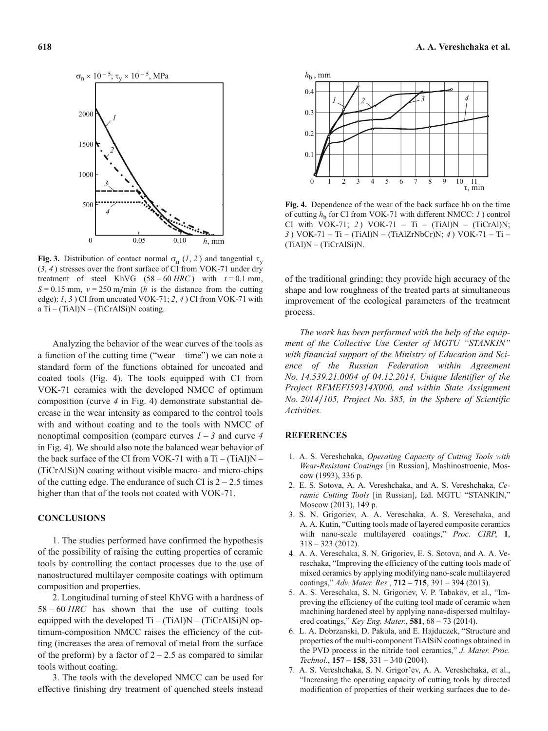

**Fig. 3.** Distribution of contact normal  $\sigma_n$  (*1, 2*) and tangential  $\tau_v$ (*3*, *4* ) stresses over the front surface of CI from VOK-71 under dry treatment of steel KhVG  $(58 - 60$  *HRC*) with  $t = 0.1$  mm,  $S = 0.15$  mm,  $v = 250$  m/min (*h* is the distance from the cutting edge): *1*, *3* ) CI from uncoated VOK-71; *2*, *4* ) CI from VOK-71 with a Ti –  $(TiA)N - (TiCrAISi)N$  coating.

Analyzing the behavior of the wear curves of the tools as a function of the cutting time ("wear – time") we can note a standard form of the functions obtained for uncoated and coated tools (Fig. 4). The tools equipped with CI from VOK-71 ceramics with the developed NMCC of optimum composition (curve *4* in Fig. 4) demonstrate substantial decrease in the wear intensity as compared to the control tools with and without coating and to the tools with NMCC of nonoptimal composition (compare curves  $1 - 3$  and curve 4 in Fig. 4). We should also note the balanced wear behavior of the back surface of the CI from VOK-71 with a  $Ti - (TiAl)N -$ (TiCrAlSi)N coating without visible macro- and micro-chips of the cutting edge. The endurance of such CI is  $2 - 2.5$  times higher than that of the tools not coated with VOK-71.

#### **CONCLUSIONS**

1. The studies performed have confirmed the hypothesis of the possibility of raising the cutting properties of ceramic tools by controlling the contact processes due to the use of nanostructured multilayer composite coatings with optimum composition and properties.

2. Longitudinal turning of steel KhVG with a hardness of 58 – 60 *HRC* has shown that the use of cutting tools equipped with the developed  $Ti - (TiAl)N - (TiCrAlSi)N$  optimum-composition NMCC raises the efficiency of the cutting (increases the area of removal of metal from the surface of the preform) by a factor of  $2 - 2.5$  as compared to similar tools without coating.

3. The tools with the developed NMCC can be used for effective finishing dry treatment of quenched steels instead



**Fig. 4.** Dependence of the wear of the back surface hb on the time of cutting  $h<sub>b</sub>$  for CI from VOK-71 with different NMCC: *1*) control CI with VOK-71; 2) VOK-71 – Ti –  $(TiAIN - (TiCrAIN))$ ; *3* ) VOK-71 – Ti – (TiAl)N – (TiAlZrNbCr)N; *4* ) VOK-71 – Ti – (TiAl)N – (TiCrAlSi)N.

of the traditional grinding; they provide high accuracy of the shape and low roughness of the treated parts at simultaneous improvement of the ecological parameters of the treatment process.

*The work has been performed with the help of the equipment of the Collective Use Center of MGTU "STANKIN" with financial support of the Ministry of Education and Science of the Russian Federation within Agreement No. 14.539.21.0004 of 04.12.2014, Unique Identifier of the Project RFMEFI59314X000, and within State Assignment No. 2014*-*105, Project No. 385, in the Sphere of Scientific Activities.*

#### **REFERENCES**

- 1. A. S. Vereshchaka, *Operating Capacity of Cutting Tools with Wear-Resistant Coatings* [in Russian], Mashinostroenie, Moscow (1993), 336 p.
- 2. E. S. Sotova, A. A. Vereshchaka, and A. S. Vereshchaka, *Ceramic Cutting Tools* [in Russian], Izd. MGTU "STANKIN," Moscow (2013), 149 p.
- 3. S. N. Grigoriev, A. A. Vereschaka, A. S. Vereschaka, and A. A. Kutin, "Cutting tools made of layered composite ceramics with nano-scale multilayered coatings," *Proc. CIRP*, **1**,  $318 - 323$  (2012).
- 4. A. A. Vereschaka, S. N. Grigoriev, E. S. Sotova, and A. A. Vereschaka, "Improving the efficiency of the cutting tools made of mixed ceramics by applying modifying nano-scale multilayered coatings," *Adv. Mater. Res.*, **712 – 715**, 391 – 394 (2013).
- 5. A. S. Vereschaka, S. N. Grigoriev, V. P. Tabakov, et al., "Improving the efficiency of the cutting tool made of ceramic when machining hardened steel by applying nano-dispersed multilayered coatings," *Key Eng. Mater.*, **581**, 68 – 73 (2014).
- 6. L. A. Dobrzanski, D. Pakula, and E. Hajduczek, "Structure and properties of the multi-component TiAlSiN coatings obtained in the PVD process in the nitride tool ceramics," *J. Mater. Proc. Technol.*, **157 – 158**, 331 – 340 (2004).
- 7. A. S. Vereshchaka, S. N. Grigor'ev, A. A. Vereshchaka, et al., "Increasing the operating capacity of cutting tools by directed modification of properties of their working surfaces due to de-